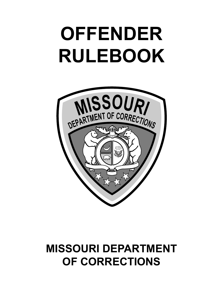# **OFFENDER RULEBOOK**



## **MISSOURI DEPARTMENT OF CORRECTIONS**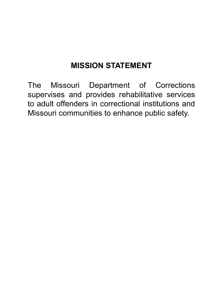## **MISSION STATEMENT**

The Missouri Department of Corrections supervises and provides rehabilitative services to adult offenders in correctional institutions and Missouri communities to enhance public safety.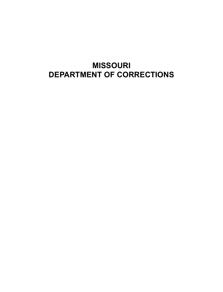#### **MISSOURI DEPARTMENT OF CORRECTIONS**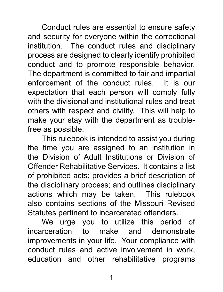Conduct rules are essential to ensure safety and security for everyone within the correctional institution. The conduct rules and disciplinary process are designed to clearly identify prohibited conduct and to promote responsible behavior. The department is committed to fair and impartial enforcement of the conduct rules. It is our expectation that each person will comply fully with the divisional and institutional rules and treat others with respect and civility. This will help to make your stay with the department as troublefree as possible.

This rulebook is intended to assist you during the time you are assigned to an institution in the Division of Adult Institutions or Division of Offender Rehabilitative Services. It contains a list of prohibited acts; provides a brief description of the disciplinary process; and outlines disciplinary actions which may be taken. This rulebook also contains sections of the Missouri Revised Statutes pertinent to incarcerated offenders.

We urge you to utilize this period of incarceration to make and demonstrate improvements in your life. Your compliance with conduct rules and active involvement in work, education and other rehabilitative programs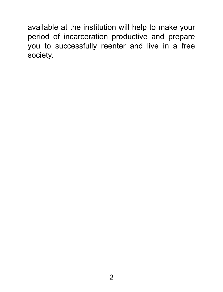available at the institution will help to make your period of incarceration productive and prepare you to successfully reenter and live in a free society.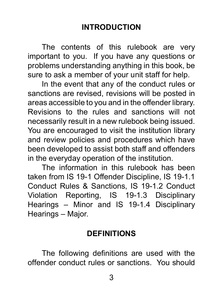### **INTRODUCTION**

The contents of this rulebook are very important to you. If you have any questions or problems understanding anything in this book, be sure to ask a member of your unit staff for help.

In the event that any of the conduct rules or sanctions are revised, revisions will be posted in areas accessible to you and in the offender library. Revisions to the rules and sanctions will not necessarily result in a new rulebook being issued. You are encouraged to visit the institution library and review policies and procedures which have been developed to assist both staff and offenders in the everyday operation of the institution.

The information in this rulebook has been taken from IS 19-1 Offender Discipline, IS 19-1.1 Conduct Rules & Sanctions, IS 19-1.2 Conduct Violation Reporting, IS 19-1.3 Disciplinary Hearings – Minor and IS 19-1.4 Disciplinary Hearings – Major.

#### **DEFINITIONS**

The following definitions are used with the offender conduct rules or sanctions. You should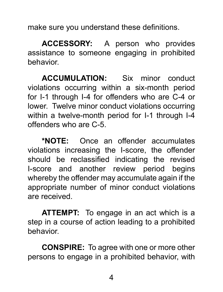make sure you understand these definitions.

**ACCESSORY:** A person who provides assistance to someone engaging in prohibited behavior.

**ACCUMULATION:** Six minor conduct violations occurring within a six-month period for I-1 through I-4 for offenders who are C-4 or lower. Twelve minor conduct violations occurring within a twelve-month period for I-1 through I-4 offenders who are C-5.

**\*NOTE:** Once an offender accumulates violations increasing the I-score, the offender should be reclassified indicating the revised I-score and another review period begins whereby the offender may accumulate again if the appropriate number of minor conduct violations are received.

**ATTEMPT:** To engage in an act which is a step in a course of action leading to a prohibited behavior.

**CONSPIRE:** To agree with one or more other persons to engage in a prohibited behavior, with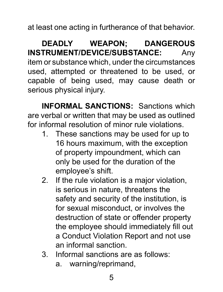at least one acting in furtherance of that behavior.

**DEADLY WEAPON; DANGEROUS INSTRUMENT/DEVICE/SUBSTANCE:** Any item or substance which, under the circumstances used, attempted or threatened to be used, or capable of being used, may cause death or serious physical injury.

**INFORMAL SANCTIONS:** Sanctions which are verbal or written that may be used as outlined for informal resolution of minor rule violations.

- 1. These sanctions may be used for up to 16 hours maximum, with the exception of property impoundment, which can only be used for the duration of the employee's shift.
- 2. If the rule violation is a major violation, is serious in nature, threatens the safety and security of the institution, is for sexual misconduct, or involves the destruction of state or offender property the employee should immediately fill out a Conduct Violation Report and not use an informal sanction.
- 3. Informal sanctions are as follows:
	- a. warning/reprimand,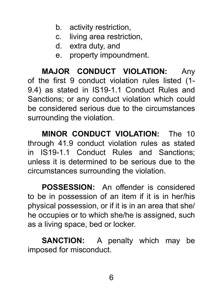- b. activity restriction,
- c. living area restriction,
- d. extra duty, and
- e. property impoundment.

**MAJOR CONDUCT VIOLATION:** Any of the first 9 conduct violation rules listed (1- 9.4) as stated in IS19-1.1 Conduct Rules and Sanctions; or any conduct violation which could be considered serious due to the circumstances surrounding the violation.

**MINOR CONDUCT VIOLATION:** The 10 through 41.9 conduct violation rules as stated in IS19-1.1 Conduct Rules and Sanctions; unless it is determined to be serious due to the circumstances surrounding the violation.

**POSSESSION:** An offender is considered to be in possession of an item if it is in her/his physical possession, or if it is in an area that she/ he occupies or to which she/he is assigned, such as a living space, bed or locker.

**SANCTION:** A penalty which may be imposed for misconduct.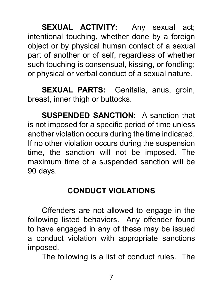**SEXUAL ACTIVITY:** Any sexual act; intentional touching, whether done by a foreign object or by physical human contact of a sexual part of another or of self, regardless of whether such touching is consensual, kissing, or fondling; or physical or verbal conduct of a sexual nature.

**SEXUAL PARTS:** Genitalia, anus, groin, breast, inner thigh or buttocks.

**SUSPENDED SANCTION:** A sanction that is not imposed for a specific period of time unless another violation occurs during the time indicated. If no other violation occurs during the suspension time, the sanction will not be imposed. The maximum time of a suspended sanction will be 90 days.

## **CONDUCT VIOLATIONS**

Offenders are not allowed to engage in the following listed behaviors. Any offender found to have engaged in any of these may be issued a conduct violation with appropriate sanctions imposed.

The following is a list of conduct rules. The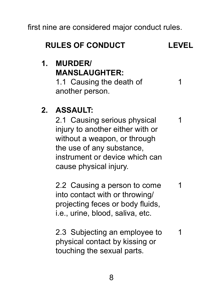first nine are considered major conduct rules.

| <b>RULES OF CONDUCT</b> | <b>LEVEL</b> |
|-------------------------|--------------|
|-------------------------|--------------|

### **1. MURDER/ MANSLAUGHTER:**

1.1 Causing the death of another person. 1

## **2. ASSAULT:**

2.1 Causing serious physical injury to another either with or without a weapon, or through the use of any substance, instrument or device which can cause physical injury. 1

2.2 Causing a person to come into contact with or throwing/ projecting feces or body fluids, i.e., urine, blood, saliva, etc. 1

2.3 Subjecting an employee to physical contact by kissing or touching the sexual parts. 1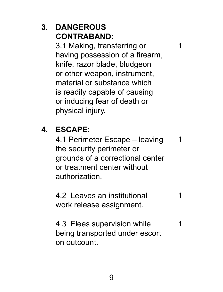## **3. DANGEROUS CONTRABAND:**

3.1 Making, transferring or having possession of a firearm, knife, razor blade, bludgeon or other weapon, instrument, material or substance which is readily capable of causing or inducing fear of death or physical injury.

1

## **4. ESCAPE:**

4.1 Perimeter Escape – leaving the security perimeter or grounds of a correctional center or treatment center without authorization. 1

4.2 Leaves an institutional work release assignment. 1

4.3 Flees supervision while being transported under escort on outcount. 1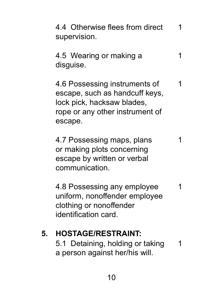4.4 Otherwise flees from direct supervision. 1

4.5 Wearing or making a disguise. 1

4.6 Possessing instruments of escape, such as handcuff keys, lock pick, hacksaw blades, rope or any other instrument of escape. 1

4.7 Possessing maps, plans or making plots concerning escape by written or verbal communication. 1

4.8 Possessing any employee uniform, nonoffender employee clothing or nonoffender identification card. 1

## **5. HOSTAGE/RESTRAINT:**

5.1 Detaining, holding or taking a person against her/his will. 1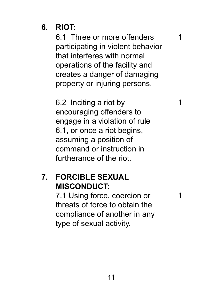## **6. RIOT:**

6.1 Three or more offenders participating in violent behavior that interferes with normal operations of the facility and creates a danger of damaging property or injuring persons.

1

1

1

6.2 Inciting a riot by encouraging offenders to engage in a violation of rule 6.1, or once a riot begins, assuming a position of command or instruction in furtherance of the riot.

#### **7. FORCIBLE SEXUAL MISCONDUCT:**

7.1 Using force, coercion or threats of force to obtain the compliance of another in any type of sexual activity.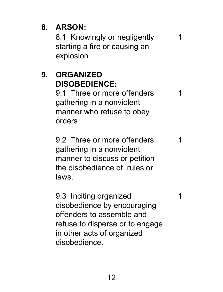## **8. ARSON:**

8.1Knowingly or negligently starting a fire or causing an explosion.

1

1

1

1

## **9. ORGANIZED DISOBEDIENCE:**

9.1 Three or more offenders gathering in a nonviolent manner who refuse to obey orders.

9.2 Three or more offenders gathering in a nonviolent manner to discuss or petition the disobedience of rules or laws.

9.3 Inciting organized disobedience by encouraging offenders to assemble and refuse to disperse or to engage in other acts of organized disobedience.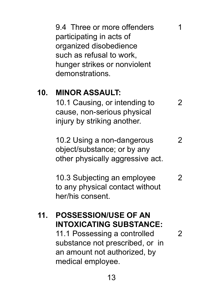9.4 Three or more offenders participating in acts of organized disobedience such as refusal to work, hunger strikes or nonviolent demonstrations.

1

 $\mathfrak{p}$ 

#### **10. MINOR ASSAULT:**

10.1 Causing, or intending to cause, non-serious physical injury by striking another. 2

10.2 Using a non-dangerous object/substance; or by any other physically aggressive act.  $\mathfrak{p}$ 

10.3 Subjecting an employee to any physical contact without her/his consent.  $\mathfrak{p}$ 

## **11. POSSESSION/USE OF AN INTOXICATING SUBSTANCE:**

11.1 Possessing a controlled substance not prescribed, or in an amount not authorized, by medical employee.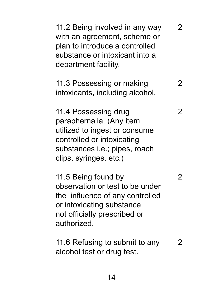| 11.2 Being involved in any way<br>with an agreement, scheme or<br>plan to introduce a controlled<br>substance or intoxicant into a<br>department facility.                 | $\overline{2}$ |
|----------------------------------------------------------------------------------------------------------------------------------------------------------------------------|----------------|
| 11.3 Possessing or making<br>intoxicants, including alcohol.                                                                                                               | 2              |
| 11.4 Possessing drug<br>paraphernalia. (Any item<br>utilized to ingest or consume<br>controlled or intoxicating<br>substances i.e.; pipes, roach<br>clips, syringes, etc.) | 2              |
| 11.5 Being found by<br>observation or test to be under<br>the influence of any controlled<br>or intoxicating substance<br>not officially prescribed or<br>authorized.      | 2              |
| 11.6 Refusing to submit to any<br>alcohol test or drug test.                                                                                                               | 2              |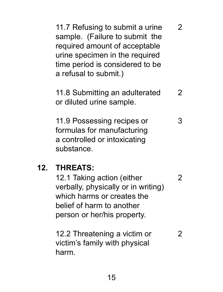| 11.7 Refusing to submit a urine<br>sample. (Failure to submit the<br>required amount of acceptable<br>urine specimen in the required<br>time period is considered to be<br>a refusal to submit.) | 2 |
|--------------------------------------------------------------------------------------------------------------------------------------------------------------------------------------------------|---|
| 11.8 Submitting an adulterated<br>or diluted urine sample.                                                                                                                                       | 2 |
| 11.9 Possessing recipes or<br>formulas for manufacturing<br>a controlled or intoxicating<br>substance.                                                                                           | 3 |
| <b>THREATS:</b><br>12.1 Taking action (either<br>verhally, nhveically or in writing)                                                                                                             | 2 |

verbally, physically or in writing) which harms or creates the belief of harm to another person or her/his property.

**12.** 

12.2 Threatening a victim or victim's family with physical harm. 2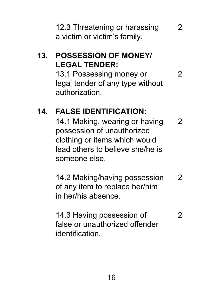12.3 Threatening or harassing a victim or victim's family.

2

2

## **13. POSSESSION OF MONEY/ LEGAL TENDER:**

13.1 Possessing money or legal tender of any type without authorization.

## **14. FALSE IDENTIFICATION:**

14.1 Making, wearing or having possession of unauthorized clothing or items which would lead others to believe she/he is someone else.  $\mathcal{P}$ 

14.2 Making/having possession of any item to replace her/him in her/his absence.  $\mathfrak{p}$ 

14.3 Having possession of false or unauthorized offender identification. 2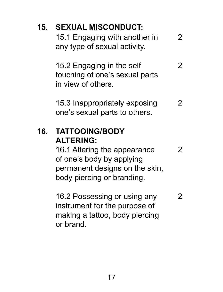| 15. | <b>SEXUAL MISCONDUCT:</b><br>15.1 Engaging with another in<br>any type of sexual activity.                                                                             | 2 |
|-----|------------------------------------------------------------------------------------------------------------------------------------------------------------------------|---|
|     | 15.2 Engaging in the self<br>touching of one's sexual parts<br>in view of others.                                                                                      | 2 |
|     | 15.3 Inappropriately exposing<br>one's sexual parts to others.                                                                                                         | 2 |
|     |                                                                                                                                                                        |   |
| 16. | <b>TATTOOING/BODY</b><br><b>ALTERING:</b><br>16.1 Altering the appearance<br>of one's body by applying<br>permanent designs on the skin,<br>body piercing or branding. | 2 |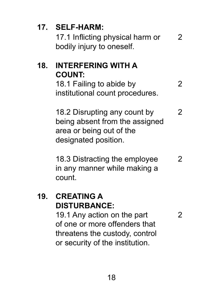## **17. SELF-HARM:**

17.1 Inflicting physical harm or bodily injury to oneself. 2

#### **18. INTERFERING WITH A COUNT:** 18.1 Failing to abide by

institutional count procedures.

18.2 Disrupting any count by being absent from the assigned area or being out of the designated position. 2

 $\mathfrak{p}$ 

 $\mathfrak{p}$ 

18.3 Distracting the employee in any manner while making a count. 2

#### **19. CREATING A DISTURBANCE:**

19.1 Any action on the part of one or more offenders that threatens the custody, control or security of the institution.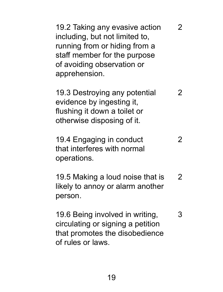| 19.2 Taking any evasive action<br>including, but not limited to,<br>running from or hiding from a<br>staff member for the purpose<br>of avoiding observation or<br>apprehension. | 2 |
|----------------------------------------------------------------------------------------------------------------------------------------------------------------------------------|---|
| 19.3 Destroying any potential<br>evidence by ingesting it,<br>flushing it down a toilet or<br>otherwise disposing of it.                                                         | 2 |
| 19.4 Engaging in conduct<br>that interferes with normal<br>operations.                                                                                                           | 2 |
| 19.5 Making a loud noise that is<br>likely to annoy or alarm another<br>person.                                                                                                  | 2 |
| 19.6 Being involved in writing,<br>circulating or signing a petition<br>that promotes the disobedience<br>of rules or laws.                                                      | 3 |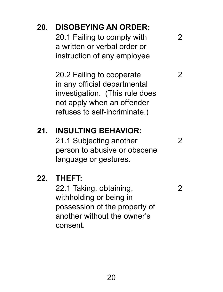## **20. DISOBEYING AN ORDER:**

20.1 Failing to comply with a written or verbal order or instruction of any employee.

20.2 Failing to cooperate in any official departmental investigation. (This rule does not apply when an offender refuses to self-incriminate.)

## **21. INSULTING BEHAVIOR:**

21.1 Subjecting another person to abusive or obscene language or gestures.

#### **22. THEFT:**

22.1 Taking, obtaining, withholding or being in possession of the property of another without the owner's consent.

 $\mathfrak{p}$ 

 $\mathfrak{p}$ 

2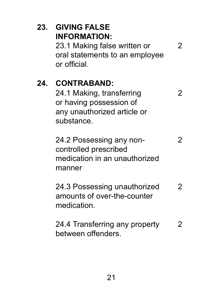| 23. | <b>GIVING FALSE</b><br><b>INFORMATION:</b><br>23.1 Making false written or<br>oral statements to an employee<br>or official. | 2 |  |
|-----|------------------------------------------------------------------------------------------------------------------------------|---|--|
| 24. | <b>CONTRABAND:</b><br>24.1 Making, transferring<br>or having possession of<br>any unauthorized article or<br>substance.      | 2 |  |
|     | 24.2 Possessing any non-<br>controlled prescribed<br>medication in an unauthorized<br>manner                                 | 2 |  |
|     | 24.3 Possessing unauthorized<br>amounts of over-the-counter<br>medication.                                                   | 2 |  |
|     | 24.4 Transferring any property<br>between offenders.                                                                         | 2 |  |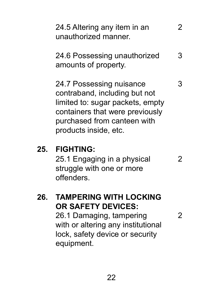|     | 24.5 Altering any item in an<br>unauthorized manner.                                                                                                                                     |   |
|-----|------------------------------------------------------------------------------------------------------------------------------------------------------------------------------------------|---|
|     | 24.6 Possessing unauthorized<br>amounts of property.                                                                                                                                     | з |
|     | 24.7 Possessing nuisance<br>contraband, including but not<br>limited to: sugar packets, empty<br>containers that were previously<br>purchased from canteen with<br>products inside, etc. | з |
| 25. | <b>FIGHTING:</b><br>25.1 Engaging in a physical<br>struggle with one or more<br>offenders                                                                                                | 2 |

## **26. TAMPERING WITH LOCKING OR SAFETY DEVICES:**

26.1 Damaging, tampering with or altering any institutional lock, safety device or security equipment.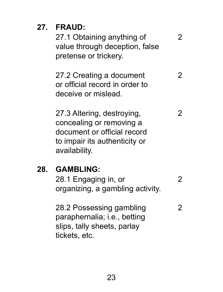**27. FRAUD:**

27.1 Obtaining anything of value through deception, false pretense or trickery.

27.2 Creating a document or official record in order to deceive or mislead. 2

2

2

27.3 Altering, destroying, concealing or removing a document or official record to impair its authenticity or availability. 2

#### **28. GAMBLING:**

28.1 Engaging in, or organizing, a gambling activity.

28.2 Possessing gambling paraphernalia; i.e., betting slips, tally sheets, parlay tickets, etc. 2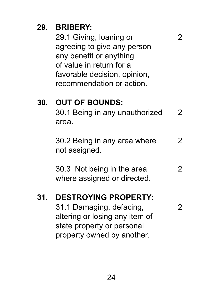## **29. BRIBERY:**

29.1 Giving, loaning or agreeing to give any person any benefit or anything of value in return for a favorable decision, opinion, recommendation or action.

## **30. OUT OF BOUNDS:**

30.1 Being in any unauthorized area. 2

2

 $\mathfrak{p}$ 

30.2 Being in any area where not assigned.  $\mathfrak{p}$ 

30.3 Not being in the area where assigned or directed.  $\mathfrak{p}$ 

#### **31. DESTROYING PROPERTY:**

31.1 Damaging, defacing, altering or losing any item of state property or personal property owned by another.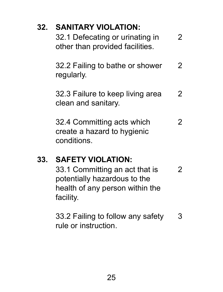## **32. SANITARY VIOLATION:**

| 32.1 Defecating or urinating in | 2 |
|---------------------------------|---|
| other than provided facilities. |   |

32.2 Failing to bathe or shower regularly. 2

32.3 Failure to keep living area clean and sanitary.  $\mathfrak{p}$ 

32.4 Committing acts which create a hazard to hygienic conditions. 2

#### **33. SAFETY VIOLATION:**

33.1 Committing an act that is potentially hazardous to the health of any person within the facility. 2

33.2 Failing to follow any safety rule or instruction. 3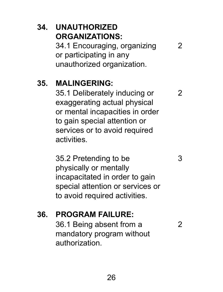## **34. UNAUTHORIZED ORGANIZATIONS:** 34.1 Encouraging, organizing

or participating in any

 $\mathfrak{p}$ 

 $\mathfrak{p}$ 

3

2

unauthorized organization.

## **35. MALINGERING:**

35.1 Deliberately inducing or exaggerating actual physical or mental incapacities in order to gain special attention or services or to avoid required activities.

35.2 Pretending to be physically or mentally incapacitated in order to gain special attention or services or to avoid required activities.

## **36. PROGRAM FAILURE:**

36.1 Being absent from a mandatory program without authorization.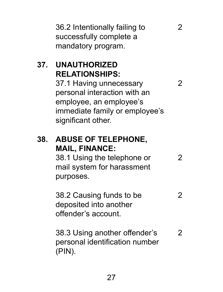36.2 Intentionally failing to successfully complete a mandatory program.

2

2

## **37. UNAUTHORIZED RELATIONSHIPS:**

37.1 Having unnecessary personal interaction with an employee, an employee's immediate family or employee's significant other.

## **38. ABUSE OF TELEPHONE, MAIL, FINANCE:**

38.1 Using the telephone or mail system for harassment purposes. 2

38.2 Causing funds to be deposited into another offender's account. 2

38.3 Using another offender's personal identification number (PIN).  $\mathfrak{p}$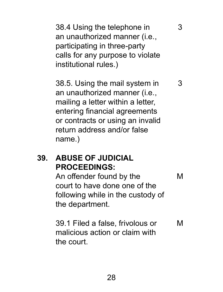38.4 Using the telephone in an unauthorized manner (i.e., participating in three-party calls for any purpose to violate institutional rules.)

3

3

38.5. Using the mail system in an unauthorized manner (i.e., mailing a letter within a letter, entering financial agreements or contracts or using an invalid return address and/or false name.)

#### **39. ABUSE OF JUDICIAL PROCEEDINGS:**

An offender found by the court to have done one of the following while in the custody of the department. M

39.1 Filed a false, frivolous or malicious action or claim with the court. M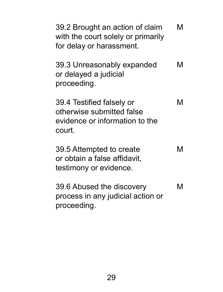| 39.2 Brought an action of claim<br>with the court solely or primarily<br>for delay or harassment.  | м |
|----------------------------------------------------------------------------------------------------|---|
| 39.3 Unreasonably expanded<br>or delayed a judicial<br>proceeding.                                 | м |
| 39.4 Testified falsely or<br>otherwise submitted false<br>evidence or information to the<br>court. | м |
| 39.5 Attempted to create<br>or obtain a false affidavit,<br>testimony or evidence.                 | M |
| 39.6 Abused the discovery<br>process in any judicial action or<br>proceeding.                      | м |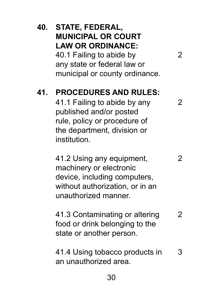| 40. | STATE, FEDERAL,<br><b>MUNICIPAL OR COURT</b><br><b>LAW OR ORDINANCE:</b><br>40.1 Failing to abide by<br>any state or federal law or<br>municipal or county ordinance.  | 2 |
|-----|------------------------------------------------------------------------------------------------------------------------------------------------------------------------|---|
| 41. | <b>PROCEDURES AND RULES:</b><br>41.1 Failing to abide by any<br>published and/or posted<br>rule, policy or procedure of<br>the department, division or<br>institution. | 2 |
|     | 41.2 Using any equipment,<br>machinery or electronic<br>device, including computers,<br>without authorization, or in an<br>unauthorized manner.                        | 2 |
|     | 41.3 Contaminating or altering<br>food or drink belonging to the<br>state or another person.                                                                           | 2 |
|     | 41.4 Using tobacco products in<br>an unauthorized area.                                                                                                                | 3 |
|     | 30                                                                                                                                                                     |   |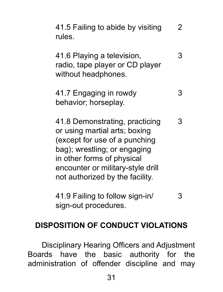| 41.5 Failing to abide by visiting<br>rules.                                                                                                                                                                                            | 2 |
|----------------------------------------------------------------------------------------------------------------------------------------------------------------------------------------------------------------------------------------|---|
| 41.6 Playing a television,<br>radio, tape player or CD player<br>without headphones.                                                                                                                                                   | 3 |
| 41.7 Engaging in rowdy<br>behavior; horseplay.                                                                                                                                                                                         | з |
| 41.8 Demonstrating, practicing<br>or using martial arts; boxing<br>(except for use of a punching<br>bag); wrestling; or engaging<br>in other forms of physical<br>encounter or military-style drill<br>not authorized by the facility. | 3 |
| 41.9 Failing to follow sign-in/<br>sign-out procedures.                                                                                                                                                                                |   |

#### **DISPOSITION OF CONDUCT VIOLATIONS**

Disciplinary Hearing Officers and Adjustment Boards have the basic authority for the administration of offender discipline and may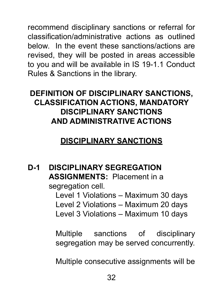recommend disciplinary sanctions or referral for classification/administrative actions as outlined below. In the event these sanctions/actions are revised, they will be posted in areas accessible to you and will be available in IS 19-1.1 Conduct Rules & Sanctions in the library.

## **DEFINITION OF DISCIPLINARY SANCTIONS, CLASSIFICATION ACTIONS, MANDATORY DISCIPLINARY SANCTIONS AND ADMINISTRATIVE ACTIONS**

## **DISCIPLINARY SANCTIONS**

**D-1 DISCIPLINARY SEGREGATION ASSIGNMENTS:** Placement in a segregation cell.

Level 1 Violations – Maximum 30 days Level 2 Violations – Maximum 20 days Level 3 Violations – Maximum 10 days

Multiple sanctions of disciplinary segregation may be served concurrently.

Multiple consecutive assignments will be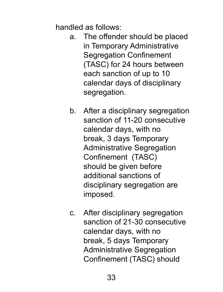handled as follows:

- a. The offender should be placed in Temporary Administrative Segregation Confinement (TASC) for 24 hours between each sanction of up to 10 calendar days of disciplinary segregation.
- b. After a disciplinary segregation sanction of 11-20 consecutive calendar days, with no break, 3 days Temporary Administrative Segregation Confinement (TASC) should be given before additional sanctions of disciplinary segregation are imposed.
- c. After disciplinary segregation sanction of 21-30 consecutive calendar days, with no break, 5 days Temporary Administrative Segregation Confinement (TASC) should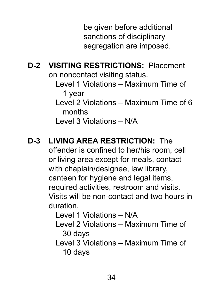be given before additional sanctions of disciplinary segregation are imposed.

**D-2 VISITING RESTRICTIONS:** Placement on noncontact visiting status.

> Level 1 Violations – Maximum Time of 1 year

Level 2 Violations – Maximum Time of 6 months

Level 3 Violations – N/A

## **D-3 LIVING AREA RESTRICTION:** The

offender is confined to her/his room, cell or living area except for meals, contact with chaplain/designee, law library, canteen for hygiene and legal items, required activities, restroom and visits. Visits will be non-contact and two hours in duration.

Level 1 Violations – N/A

Level 2 Violations – Maximum Time of 30 days

Level 3 Violations – Maximum Time of 10 days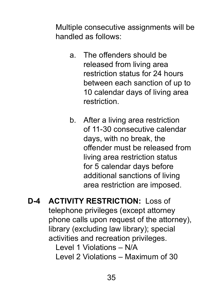Multiple consecutive assignments will be handled as follows:

- a. The offenders should be released from living area restriction status for 24 hours between each sanction of up to 10 calendar days of living area restriction.
- b. After a living area restriction of 11-30 consecutive calendar days, with no break, the offender must be released from living area restriction status for 5 calendar days before additional sanctions of living area restriction are imposed.
- **D-4 ACTIVITY RESTRICTION:** Loss of telephone privileges (except attorney phone calls upon request of the attorney), library (excluding law library); special activities and recreation privileges. Level 1 Violations – N/A Level 2 Violations – Maximum of 30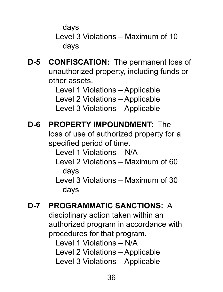days

Level 3 Violations – Maximum of 10 days

**D-5 CONFISCATION:** The permanent loss of unauthorized property, including funds or other assets.

> Level 1 Violations – Applicable Level 2 Violations – Applicable Level 3 Violations – Applicable

- **D-6 PROPERTY IMPOUNDMENT:** The loss of use of authorized property for a specified period of time. Level 1 Violations – N/A Level 2 Violations – Maximum of 60 days Level 3 Violations – Maximum of 30 days
- **D-7 PROGRAMMATIC SANCTIONS:** A disciplinary action taken within an authorized program in accordance with procedures for that program. Level 1 Violations – N/A Level 2 Violations – Applicable Level 3 Violations – Applicable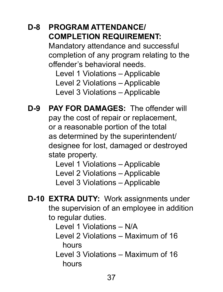## **D-8 PROGRAM ATTENDANCE/ COMPLETION REQUIREMENT:**

Mandatory attendance and successful completion of any program relating to the offender's behavioral needs.

Level 1 Violations – Applicable Level 2 Violations – Applicable Level 3 Violations – Applicable

**D-9 PAY FOR DAMAGES:** The offender will pay the cost of repair or replacement, or a reasonable portion of the total as determined by the superintendent/ designee for lost, damaged or destroyed state property.

Level 1 Violations – Applicable Level 2 Violations – Applicable Level 3 Violations – Applicable

**D-10 EXTRA DUTY:** Work assignments under the supervision of an employee in addition to regular duties.

Level 1 Violations – N/A

Level 2 Violations – Maximum of 16 hours

Level 3 Violations – Maximum of 16 hours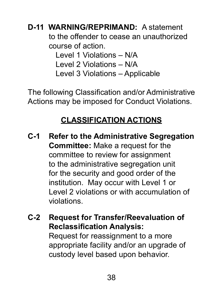**D-11 WARNING/REPRIMAND:** A statement to the offender to cease an unauthorized course of action. Level 1 Violations – N/A Level 2 Violations – N/A Level 3 Violations – Applicable

The following Classification and/or Administrative Actions may be imposed for Conduct Violations.

# **CLASSIFICATION ACTIONS**

- **C-1 Refer to the Administrative Segregation Committee:** Make a request for the committee to review for assignment to the administrative segregation unit for the security and good order of the institution. May occur with Level 1 or Level 2 violations or with accumulation of violations.
- **C-2 Request for Transfer/Reevaluation of Reclassification Analysis:** Request for reassignment to a more appropriate facility and/or an upgrade of custody level based upon behavior.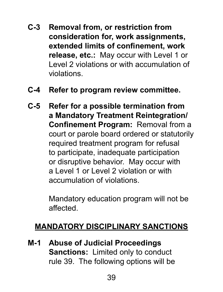- **C-3 Removal from, or restriction from consideration for, work assignments, extended limits of confinement, work release, etc.:** May occur with Level 1 or Level 2 violations or with accumulation of violations.
- **C-4 Refer to program review committee.**
- **C-5 Refer for a possible termination from a Mandatory Treatment Reintegration/ Confinement Program:** Removal from a court or parole board ordered or statutorily required treatment program for refusal to participate, inadequate participation or disruptive behavior. May occur with a Level 1 or Level 2 violation or with accumulation of violations.

Mandatory education program will not be affected.

## **MANDATORY DISCIPLINARY SANCTIONS**

**M-1 Abuse of Judicial Proceedings Sanctions:** Limited only to conduct rule 39. The following options will be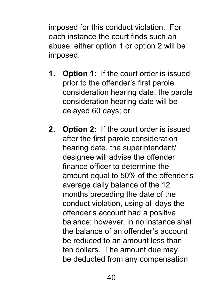imposed for this conduct violation. For each instance the court finds such an abuse, either option 1 or option 2 will be imposed.

- **1. Option 1:** If the court order is issued prior to the offender's first parole consideration hearing date, the parole consideration hearing date will be delayed 60 days; or
- **2. Option 2:** If the court order is issued after the first parole consideration hearing date, the superintendent/ designee will advise the offender finance officer to determine the amount equal to 50% of the offender's average daily balance of the 12 months preceding the date of the conduct violation, using all days the offender's account had a positive balance; however, in no instance shall the balance of an offender's account be reduced to an amount less than ten dollars. The amount due may be deducted from any compensation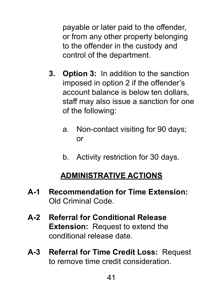payable or later paid to the offender, or from any other property belonging to the offender in the custody and control of the department.

- **3. Option 3:** In addition to the sanction imposed in option 2 if the offender's account balance is below ten dollars, staff may also issue a sanction for one of the following:
	- a. Non-contact visiting for 90 days; or
	- b. Activity restriction for 30 days.

# **ADMINISTRATIVE ACTIONS**

- **A-1 Recommendation for Time Extension:** Old Criminal Code.
- **A-2 Referral for Conditional Release Extension:** Request to extend the conditional release date.
- **A-3 Referral for Time Credit Loss:** Request to remove time credit consideration.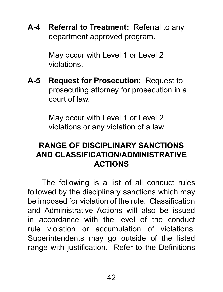**A-4 Referral to Treatment:** Referral to any department approved program.

> May occur with Level 1 or Level 2 violations.

**A-5 Request for Prosecution:** Request to prosecuting attorney for prosecution in a court of law.

> May occur with Level 1 or Level 2 violations or any violation of a law.

## **RANGE OF DISCIPLINARY SANCTIONS AND CLASSIFICATION/ADMINISTRATIVE ACTIONS**

The following is a list of all conduct rules followed by the disciplinary sanctions which may be imposed for violation of the rule. Classification and Administrative Actions will also be issued in accordance with the level of the conduct rule violation or accumulation of violations. Superintendents may go outside of the listed range with justification. Refer to the Definitions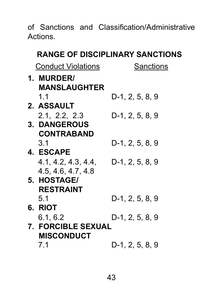of Sanctions and Classification/Administrative Actions.

### **RANGE OF DISCIPLINARY SANCTIONS**

| <b>Conduct Violations</b> | Sanctions       |
|---------------------------|-----------------|
| 1. MURDER/                |                 |
| <b>MANSLAUGHTER</b>       |                 |
| 1.1                       | D-1, 2, 5, 8, 9 |
| 2. ASSAULT                |                 |
| 2.1, 2.2, 2.3             | D-1, 2, 5, 8, 9 |
| 3. DANGEROUS              |                 |
| <b>CONTRABAND</b>         |                 |
| 3.1                       | D-1, 2, 5, 8, 9 |
| <b>4. ESCAPE</b>          |                 |
| 4.1, 4.2, 4.3, 4.4.       | D-1, 2, 5, 8, 9 |
| 4.5, 4.6, 4.7, 4.8        |                 |
| 5. HOSTAGE/               |                 |
| <b>RESTRAINT</b>          |                 |
| 5.1                       | D-1, 2, 5, 8, 9 |
| 6. RIOT                   |                 |
| 6.1. 6.2                  | D-1, 2, 5, 8, 9 |
| <b>7. FORCIBLE SEXUAL</b> |                 |
| <b>MISCONDUCT</b>         |                 |
| 7.1                       | D-1, 2, 5, 8, 9 |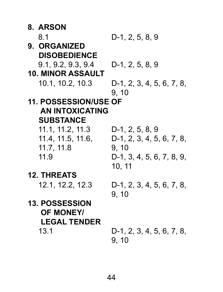| 8. ARSON                     |                                    |
|------------------------------|------------------------------------|
| 8.1                          | D-1, 2, 5, 8, 9                    |
| 9. ORGANIZED                 |                                    |
| <b>DISOBEDIENCE</b>          |                                    |
| 9.1, 9.2, 9.3, 9.4           | D-1, 2, 5, 8, 9                    |
| <b>10. MINOR ASSAULT</b>     |                                    |
| 10.1, 10.2, 10.3             | D-1, 2, 3, 4, 5, 6, 7, 8,<br>9, 10 |
| <b>11. POSSESSION/USE OF</b> |                                    |
| <b>AN INTOXICATING</b>       |                                    |
| <b>SUBSTANCE</b>             |                                    |
| 11.1, 11.2, 11.3             | D-1, 2, 5, 8, 9                    |
| 11.4, 11.5, 11.6,            | D-1, 2, 3, 4, 5, 6, 7, 8,          |
| 11.7, 11.8                   | 9, 10                              |
| 11.9                         | D-1, 3, 4, 5, 6, 7, 8, 9,          |
|                              | 10, 11                             |
| <b>12. THREATS</b>           |                                    |
| 12.1, 12.2, 12.3             | D-1, 2, 3, 4, 5, 6, 7, 8,          |
|                              | 9, 10                              |
| <b>13. POSSESSION</b>        |                                    |
| <b>OF MONEY/</b>             |                                    |
| <b>LEGAL TENDER</b>          |                                    |
| 13.1                         | D-1, 2, 3, 4, 5, 6, 7, 8,          |
|                              | 9, 10                              |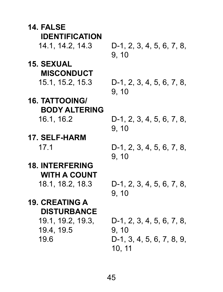| 14. FALSE                       |                                     |
|---------------------------------|-------------------------------------|
| <b>IDENTIFICATION</b>           |                                     |
| 14.1, 14.2, 14.3                | D-1, 2, 3, 4, 5, 6, 7, 8,<br>9, 10  |
| 15. SEXUAL                      |                                     |
| <b>MISCONDUCT</b>               |                                     |
| 15.1, 15.2, 15.3                | D-1, 2, 3, 4, 5, 6, 7, 8,<br>9, 10  |
| <b>16. TATTOOING/</b>           |                                     |
| <b>BODY ALTERING</b>            |                                     |
| 16.1, 16.2                      | D-1, 2, 3, 4, 5, 6, 7, 8,<br>9, 10  |
| 17. SELF-HARM                   |                                     |
| 17.1                            | D-1, 2, 3, 4, 5, 6, 7, 8,<br>9, 10  |
| <b>18. INTERFERING</b>          |                                     |
| <b>WITH A COUNT</b>             |                                     |
| 18.1, 18.2, 18.3                | D-1, 2, 3, 4, 5, 6, 7, 8,<br>9, 10  |
| <b>19. CREATING A</b>           |                                     |
| <b>DISTURBANCE</b>              |                                     |
| 19.1, 19.2, 19.3,<br>19.4, 19.5 | D-1, 2, 3, 4, 5, 6, 7, 8,<br>9, 10  |
| 19.6                            | D-1, 3, 4, 5, 6, 7, 8, 9,<br>10, 11 |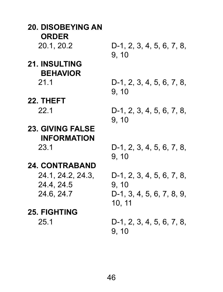**20. DISOBEYING AN ORDER**<br>20.1.20.2 D-1, 2, 3, 4, 5, 6, 7, 8, 9, 10 **21. INSULTING BEHAVIOR** 21.1 D-1, 2, 3, 4, 5, 6, 7, 8, 9, 10 **22. THEFT** 22.1 D-1, 2, 3, 4, 5, 6, 7, 8, 9, 10 **23. GIVING FALSE INFORMATION** 23.1 D-1, 2, 3, 4, 5, 6, 7, 8, 9, 10 **24. CONTRABAND** 24.1, 24.2, 24.3, 24.4, 24.5 D-1, 2, 3, 4, 5, 6, 7, 8, 9, 10 24.6, 24.7 D-1, 3, 4, 5, 6, 7, 8, 9, 10, 11 **25. FIGHTING** 25.1 D-1, 2, 3, 4, 5, 6, 7, 8, 9, 10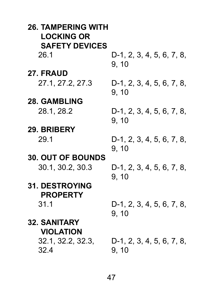| <b>26. TAMPERING WITH</b><br><b>LOCKING OR</b> |                                    |
|------------------------------------------------|------------------------------------|
| <b>SAFETY DEVICES</b>                          |                                    |
| 26.1                                           | D-1, 2, 3, 4, 5, 6, 7, 8,<br>9, 10 |
| 27. FRAUD                                      |                                    |
| 27.1, 27.2, 27.3                               | D-1, 2, 3, 4, 5, 6, 7, 8,<br>9, 10 |
| <b>28. GAMBLING</b>                            |                                    |
| 28.1, 28.2                                     | D-1, 2, 3, 4, 5, 6, 7, 8,<br>9, 10 |
| 29. BRIBERY                                    |                                    |
| 29.1                                           | D-1, 2, 3, 4, 5, 6, 7, 8,<br>9, 10 |
| <b>30. OUT OF BOUNDS</b>                       |                                    |
| 30.1, 30.2, 30.3                               | D-1, 2, 3, 4, 5, 6, 7, 8,<br>9, 10 |
| <b>31. DESTROYING</b>                          |                                    |
| <b>PROPERTY</b>                                |                                    |
| 31.1                                           | D-1, 2, 3, 4, 5, 6, 7, 8,<br>9, 10 |
| <b>32. SANITARY</b>                            |                                    |
| <b>VIOLATION</b>                               |                                    |
| 32.1, 32.2, 32.3,                              | D-1, 2, 3, 4, 5, 6, 7, 8,          |
| 32.4                                           | 9, 10                              |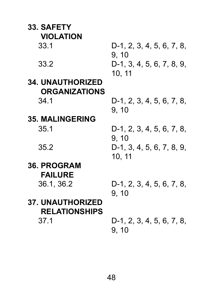| <b>33. SAFETY</b>       |                                              |
|-------------------------|----------------------------------------------|
| <b>VIOLATION</b>        |                                              |
| 33.1                    | D-1, 2, 3, 4, 5, 6, 7, 8,<br>9, 10           |
| 33.2                    | D-1, 3, 4, 5, 6, 7, 8, 9,<br>10, 11          |
| <b>34. UNAUTHORIZED</b> |                                              |
| <b>ORGANIZATIONS</b>    |                                              |
| 34.1                    | D-1, 2, 3, 4, 5, 6, 7, 8,<br>9, 10           |
| <b>35. MALINGERING</b>  |                                              |
| 35.1                    | D-1, 2, 3, 4, 5, 6, 7, 8,                    |
| 35.2                    | 9, 10<br>D-1, 3, 4, 5, 6, 7, 8, 9,<br>10, 11 |
| <b>36. PROGRAM</b>      |                                              |
| <b>FAILURE</b>          |                                              |
| 36.1, 36.2              | D-1, 2, 3, 4, 5, 6, 7, 8,<br>9, 10           |
| <b>37. UNAUTHORIZED</b> |                                              |
| <b>RELATIONSHIPS</b>    |                                              |
| 37.1                    | D-1, 2, 3, 4, 5, 6, 7, 8,<br>9, 10           |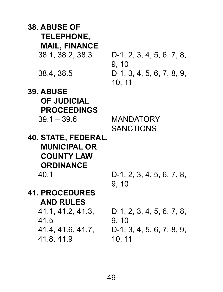| <b>38. ABUSE OF</b><br><b>TELEPHONE,</b>                                            |                                              |
|-------------------------------------------------------------------------------------|----------------------------------------------|
| <b>MAIL, FINANCE</b>                                                                |                                              |
| 38.1, 38.2, 38.3                                                                    | D-1, 2, 3, 4, 5, 6, 7, 8,<br>9, 10           |
| 38.4, 38.5                                                                          | D-1, 3, 4, 5, 6, 7, 8, 9,<br>10, 11          |
| <b>39. ABUSE</b>                                                                    |                                              |
| <b>OF JUDICIAL</b>                                                                  |                                              |
| <b>PROCEEDINGS</b>                                                                  |                                              |
| $39.1 - 39.6$                                                                       | <b>MANDATORY</b>                             |
|                                                                                     | <b>SANCTIONS</b>                             |
| 40. STATE, FEDERAL,<br><b>MUNICIPAL OR</b><br><b>COUNTY LAW</b><br><b>ORDINANCE</b> |                                              |
| 40.1                                                                                | D-1, 2, 3, 4, 5, 6, 7, 8,                    |
|                                                                                     | 9, 10                                        |
| <b>41. PROCEDURES</b><br><b>AND RULES</b>                                           |                                              |
| 41.1, 41.2, 41.3,                                                                   | D-1, 2, 3, 4, 5, 6, 7, 8,                    |
| 41.5<br>41.4, 41.6, 41.7,<br>41.8, 41.9                                             | 9, 10<br>D-1, 3, 4, 5, 6, 7, 8, 9,<br>10, 11 |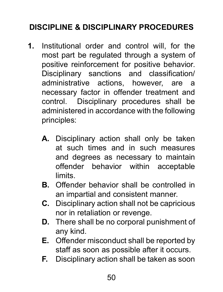# **DISCIPLINE & DISCIPLINARY PROCEDURES**

- **1.** Institutional order and control will, for the most part be regulated through a system of positive reinforcement for positive behavior. Disciplinary sanctions and classification/ administrative actions, however, are a necessary factor in offender treatment and control. Disciplinary procedures shall be administered in accordance with the following principles:
	- **A.** Disciplinary action shall only be taken at such times and in such measures and degrees as necessary to maintain offender behavior within acceptable limits.
	- **B.** Offender behavior shall be controlled in an impartial and consistent manner.
	- **C.** Disciplinary action shall not be capricious nor in retaliation or revenge.
	- **D.** There shall be no corporal punishment of any kind.
	- **E.** Offender misconduct shall be reported by staff as soon as possible after it occurs.
	- **F.** Disciplinary action shall be taken as soon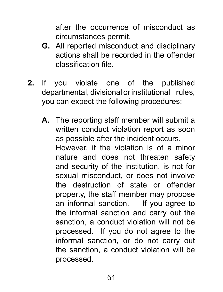after the occurrence of misconduct as circumstances permit.

- **G.** All reported misconduct and disciplinary actions shall be recorded in the offender classification file.
- **2.** If you violate one of the published departmental, divisional or institutional rules, you can expect the following procedures:
	- **A.** The reporting staff member will submit a written conduct violation report as soon as possible after the incident occurs. However, if the violation is of a minor nature and does not threaten safety and security of the institution, is not for sexual misconduct, or does not involve the destruction of state or offender property, the staff member may propose an informal sanction. If you agree to the informal sanction and carry out the sanction, a conduct violation will not be processed. If you do not agree to the informal sanction, or do not carry out the sanction, a conduct violation will be processed.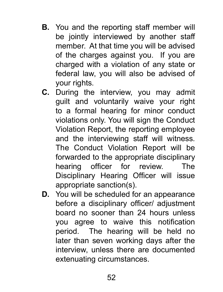- **B.** You and the reporting staff member will be jointly interviewed by another staff member. At that time you will be advised of the charges against you. If you are charged with a violation of any state or federal law, you will also be advised of your rights.
- **C.** During the interview, you may admit guilt and voluntarily waive your right to a formal hearing for minor conduct violations only. You will sign the Conduct Violation Report, the reporting employee and the interviewing staff will witness. The Conduct Violation Report will be forwarded to the appropriate disciplinary hearing officer for review. The Disciplinary Hearing Officer will issue appropriate sanction(s).
- **D.** You will be scheduled for an appearance before a disciplinary officer/ adjustment board no sooner than 24 hours unless you agree to waive this notification period. The hearing will be held no later than seven working days after the interview, unless there are documented extenuating circumstances.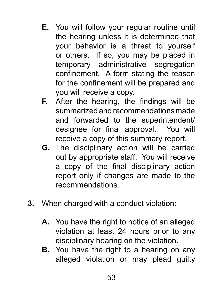- **E.** You will follow your regular routine until the hearing unless it is determined that your behavior is a threat to yourself or others. If so, you may be placed in temporary administrative segregation confinement. A form stating the reason for the confinement will be prepared and you will receive a copy.
- **F.** After the hearing, the findings will be summarized and recommendations made and forwarded to the superintendent/ designee for final approval. You will receive a copy of this summary report.
- **G.** The disciplinary action will be carried out by appropriate staff. You will receive a copy of the final disciplinary action report only if changes are made to the recommendations.
- **3.** When charged with a conduct violation:
	- **A.** You have the right to notice of an alleged violation at least 24 hours prior to any disciplinary hearing on the violation.
	- **B.** You have the right to a hearing on any alleged violation or may plead guilty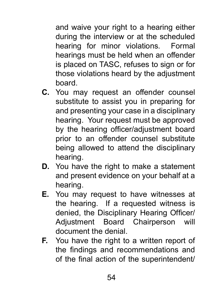and waive your right to a hearing either during the interview or at the scheduled hearing for minor violations. Formal hearings must be held when an offender is placed on TASC, refuses to sign or for those violations heard by the adjustment board.

- **C.** You may request an offender counsel substitute to assist you in preparing for and presenting your case in a disciplinary hearing. Your request must be approved by the hearing officer/adjustment board prior to an offender counsel substitute being allowed to attend the disciplinary hearing.
- **D.** You have the right to make a statement and present evidence on your behalf at a hearing.
- **E.** You may request to have witnesses at the hearing. If a requested witness is denied, the Disciplinary Hearing Officer/ Adjustment Board Chairperson will document the denial.
- **F.** You have the right to a written report of the findings and recommendations and of the final action of the superintendent/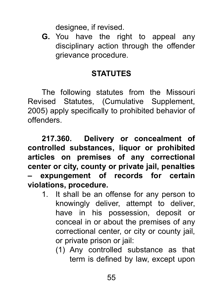designee, if revised.

**G.** You have the right to appeal any disciplinary action through the offender grievance procedure.

## **STATUTES**

The following statutes from the Missouri Revised Statutes, (Cumulative Supplement, 2005) apply specifically to prohibited behavior of offenders.

**217.360. Delivery or concealment of controlled substances, liquor or prohibited articles on premises of any correctional center or city, county or private jail, penalties – expungement of records for certain violations, procedure.**

- 1. It shall be an offense for any person to knowingly deliver, attempt to deliver, have in his possession, deposit or conceal in or about the premises of any correctional center, or city or county jail, or private prison or jail:
	- (1) Any controlled substance as that term is defined by law, except upon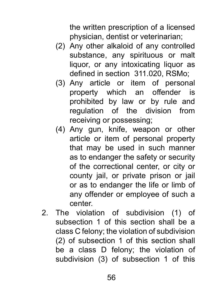the written prescription of a licensed physician, dentist or veterinarian;

- (2) Any other alkaloid of any controlled substance, any spirituous or malt liquor, or any intoxicating liquor as defined in section 311.020, RSMo;
- (3) Any article or item of personal property which an offender is prohibited by law or by rule and regulation of the division from receiving or possessing;
- (4) Any gun, knife, weapon or other article or item of personal property that may be used in such manner as to endanger the safety or security of the correctional center, or city or county jail, or private prison or jail or as to endanger the life or limb of any offender or employee of such a center.
- 2. The violation of subdivision (1) of subsection 1 of this section shall be a class C felony; the violation of subdivision (2) of subsection 1 of this section shall be a class D felony; the violation of subdivision (3) of subsection 1 of this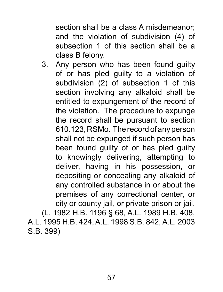section shall be a class A misdemeanor; and the violation of subdivision (4) of subsection 1 of this section shall be a class B felony.

3. Any person who has been found guilty of or has pled guilty to a violation of subdivision (2) of subsection 1 of this section involving any alkaloid shall be entitled to expungement of the record of the violation. The procedure to expunge the record shall be pursuant to section 610.123, RSMo. The record of any person shall not be expunged if such person has been found guilty of or has pled guilty to knowingly delivering, attempting to deliver, having in his possession, or depositing or concealing any alkaloid of any controlled substance in or about the premises of any correctional center, or city or county jail, or private prison or jail.

(L. 1982 H.B. 1196 § 68, A.L. 1989 H.B. 408, A.L. 1995 H.B. 424, A.L. 1998 S.B. 842, A.L. 2003 S.B. 399)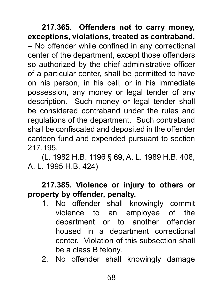**217.365. Offenders not to carry money, exceptions, violations, treated as contraband.** – No offender while confined in any correctional center of the department, except those offenders so authorized by the chief administrative officer of a particular center, shall be permitted to have on his person, in his cell, or in his immediate possession, any money or legal tender of any description. Such money or legal tender shall be considered contraband under the rules and regulations of the department. Such contraband shall be confiscated and deposited in the offender canteen fund and expended pursuant to section 217.195.

(L. 1982 H.B. 1196 § 69, A. L. 1989 H.B. 408, A. L. 1995 H.B. 424)

### **217.385. Violence or injury to others or property by offender, penalty.**

- 1. No offender shall knowingly commit violence to an employee of the department or to another offender housed in a department correctional center. Violation of this subsection shall be a class B felony.
- 2. No offender shall knowingly damage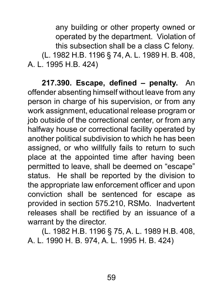any building or other property owned or operated by the department. Violation of this subsection shall be a class C felony. (L. 1982 H.B. 1196 § 74, A. L. 1989 H. B. 408, A. L. 1995 H.B. 424)

**217.390. Escape, defined – penalty.** An offender absenting himself without leave from any person in charge of his supervision, or from any work assignment, educational release program or job outside of the correctional center, or from any halfway house or correctional facility operated by another political subdivision to which he has been assigned, or who willfully fails to return to such place at the appointed time after having been permitted to leave, shall be deemed on "escape" status. He shall be reported by the division to the appropriate law enforcement officer and upon conviction shall be sentenced for escape as provided in section 575.210, RSMo. Inadvertent releases shall be rectified by an issuance of a warrant by the director.

(L. 1982 H.B. 1196 § 75, A. L. 1989 H.B. 408, A. L. 1990 H. B. 974, A. L. 1995 H. B. 424)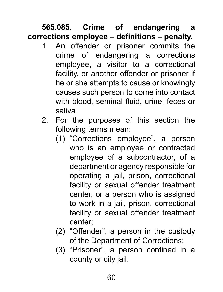**565.085. Crime of endangering a corrections employee – definitions – penalty.** 

- 1. An offender or prisoner commits the crime of endangering a corrections employee, a visitor to a correctional facility, or another offender or prisoner if he or she attempts to cause or knowingly causes such person to come into contact with blood, seminal fluid, urine, feces or saliva.
- 2. For the purposes of this section the following terms mean:
	- (1) "Corrections employee", a person who is an employee or contracted employee of a subcontractor, of a department or agency responsible for operating a jail, prison, correctional facility or sexual offender treatment center, or a person who is assigned to work in a jail, prison, correctional facility or sexual offender treatment center;
	- (2) "Offender", a person in the custody of the Department of Corrections;
	- (3) "Prisoner", a person confined in a county or city jail.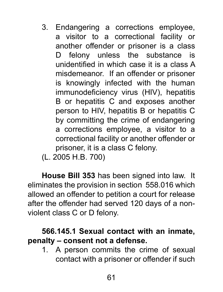- 3. Endangering a corrections employee, a visitor to a correctional facility or another offender or prisoner is a class D felony unless the substance is unidentified in which case it is a class A misdemeanor. If an offender or prisoner is knowingly infected with the human immunodeficiency virus (HIV), hepatitis B or hepatitis C and exposes another person to HIV, hepatitis B or hepatitis C by committing the crime of endangering a corrections employee, a visitor to a correctional facility or another offender or prisoner, it is a class C felony.
- (L. 2005 H.B. 700)

**House Bill 353** has been signed into law. It eliminates the provision in section 558.016 which allowed an offender to petition a court for release after the offender had served 120 days of a nonviolent class C or D felony.

### **566.145.1 Sexual contact with an inmate, penalty – consent not a defense.**

1. A person commits the crime of sexual contact with a prisoner or offender if such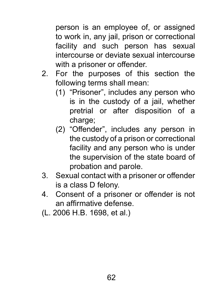person is an employee of, or assigned to work in, any jail, prison or correctional facility and such person has sexual intercourse or deviate sexual intercourse with a prisoner or offender.

- 2. For the purposes of this section the following terms shall mean:
	- (1) "Prisoner", includes any person who is in the custody of a jail, whether pretrial or after disposition of a charge;
	- (2) "Offender", includes any person in the custody of a prison or correctional facility and any person who is under the supervision of the state board of probation and parole.
- 3. Sexual contact with a prisoner or offender is a class D felony.
- 4. Consent of a prisoner or offender is not an affirmative defense.
- (L. 2006 H.B. 1698, et al.)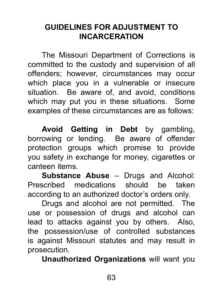## **GUIDELINES FOR ADJUSTMENT TO INCARCERATION**

The Missouri Department of Corrections is committed to the custody and supervision of all offenders; however, circumstances may occur which place you in a vulnerable or insecure situation. Be aware of, and avoid, conditions which may put you in these situations. Some examples of these circumstances are as follows:

**Avoid Getting in Debt** by gambling, borrowing or lending. Be aware of offender protection groups which promise to provide you safety in exchange for money, cigarettes or canteen items.

**Substance Abuse** – Drugs and Alcohol: Prescribed medications should be taken according to an authorized doctor's orders only.

Drugs and alcohol are not permitted. The use or possession of drugs and alcohol can lead to attacks against you by others. Also, the possession/use of controlled substances is against Missouri statutes and may result in prosecution.

**Unauthorized Organizations** will want you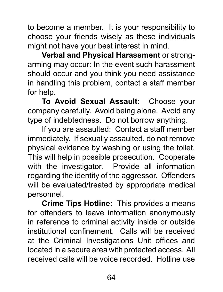to become a member. It is your responsibility to choose your friends wisely as these individuals might not have your best interest in mind.

**Verbal and Physical Harassment** or strongarming may occur: In the event such harassment should occur and you think you need assistance in handling this problem, contact a staff member for help.

**To Avoid Sexual Assault:** Choose your company carefully. Avoid being alone. Avoid any type of indebtedness. Do not borrow anything.

If you are assaulted: Contact a staff member immediately. If sexually assaulted, do not remove physical evidence by washing or using the toilet. This will help in possible prosecution. Cooperate with the investigator. Provide all information regarding the identity of the aggressor. Offenders will be evaluated/treated by appropriate medical personnel.

**Crime Tips Hotline:** This provides a means for offenders to leave information anonymously in reference to criminal activity inside or outside institutional confinement. Calls will be received at the Criminal Investigations Unit offices and located in a secure area with protected access. All received calls will be voice recorded. Hotline use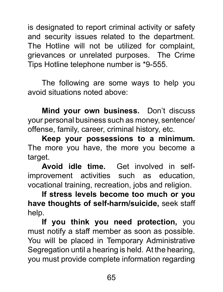is designated to report criminal activity or safety and security issues related to the department. The Hotline will not be utilized for complaint, grievances or unrelated purposes. The Crime Tips Hotline telephone number is \*9-555.

The following are some ways to help you avoid situations noted above:

**Mind your own business.** Don't discuss your personal business such as money, sentence/ offense, family, career, criminal history, etc.

**Keep your possessions to a minimum.** The more you have, the more you become a target.

**Avoid idle time.** Get involved in selfimprovement activities such as education, vocational training, recreation, jobs and religion.

**If stress levels become too much or you have thoughts of self-harm/suicide,** seek staff help.

**If you think you need protection,** you must notify a staff member as soon as possible. You will be placed in Temporary Administrative Segregation until a hearing is held. At the hearing, you must provide complete information regarding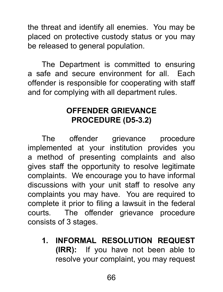the threat and identify all enemies. You may be placed on protective custody status or you may be released to general population.

The Department is committed to ensuring a safe and secure environment for all. Each offender is responsible for cooperating with staff and for complying with all department rules.

## **OFFENDER GRIEVANCE PROCEDURE (D5-3.2)**

The offender grievance procedure implemented at your institution provides you a method of presenting complaints and also gives staff the opportunity to resolve legitimate complaints. We encourage you to have informal discussions with your unit staff to resolve any complaints you may have. You are required to complete it prior to filing a lawsuit in the federal courts. The offender grievance procedure consists of 3 stages.

**1. INFORMAL RESOLUTION REQUEST (IRR):** If you have not been able to resolve your complaint, you may request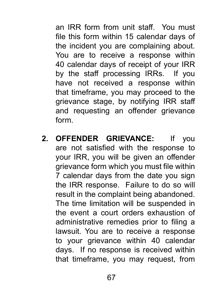an IRR form from unit staff. You must file this form within 15 calendar days of the incident you are complaining about. You are to receive a response within 40 calendar days of receipt of your IRR by the staff processing IRRs. If you have not received a response within that timeframe, you may proceed to the grievance stage, by notifying IRR staff and requesting an offender grievance form.

**2. OFFENDER GRIEVANCE:** If you are not satisfied with the response to your IRR, you will be given an offender grievance form which you must file within 7 calendar days from the date you sign the IRR response. Failure to do so will result in the complaint being abandoned. The time limitation will be suspended in the event a court orders exhaustion of administrative remedies prior to filing a lawsuit. You are to receive a response to your grievance within 40 calendar days. If no response is received within that timeframe, you may request, from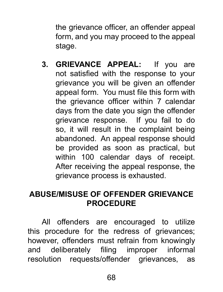the grievance officer, an offender appeal form, and you may proceed to the appeal stage.

**3. GRIEVANCE APPEAL:** If you are not satisfied with the response to your grievance you will be given an offender appeal form. You must file this form with the grievance officer within 7 calendar days from the date you sign the offender grievance response. If you fail to do so, it will result in the complaint being abandoned. An appeal response should be provided as soon as practical, but within 100 calendar days of receipt. After receiving the appeal response, the grievance process is exhausted.

## **ABUSE/MISUSE OF OFFENDER GRIEVANCE PROCEDURE**

All offenders are encouraged to utilize this procedure for the redress of grievances; however, offenders must refrain from knowingly and deliberately filing improper informal resolution requests/offender grievances, as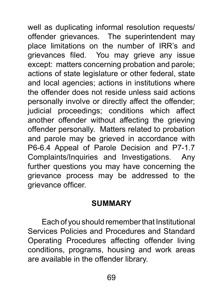well as duplicating informal resolution requests/ offender grievances. The superintendent may place limitations on the number of IRR's and grievances filed. You may grieve any issue except: matters concerning probation and parole; actions of state legislature or other federal, state and local agencies; actions in institutions where the offender does not reside unless said actions personally involve or directly affect the offender; judicial proceedings; conditions which affect another offender without affecting the grieving offender personally. Matters related to probation and parole may be grieved in accordance with P6-6.4 Appeal of Parole Decision and P7-1.7 Complaints/Inquiries and Investigations. Any further questions you may have concerning the grievance process may be addressed to the grievance officer.

## **SUMMARY**

Each of you should remember that Institutional Services Policies and Procedures and Standard Operating Procedures affecting offender living conditions, programs, housing and work areas are available in the offender library.